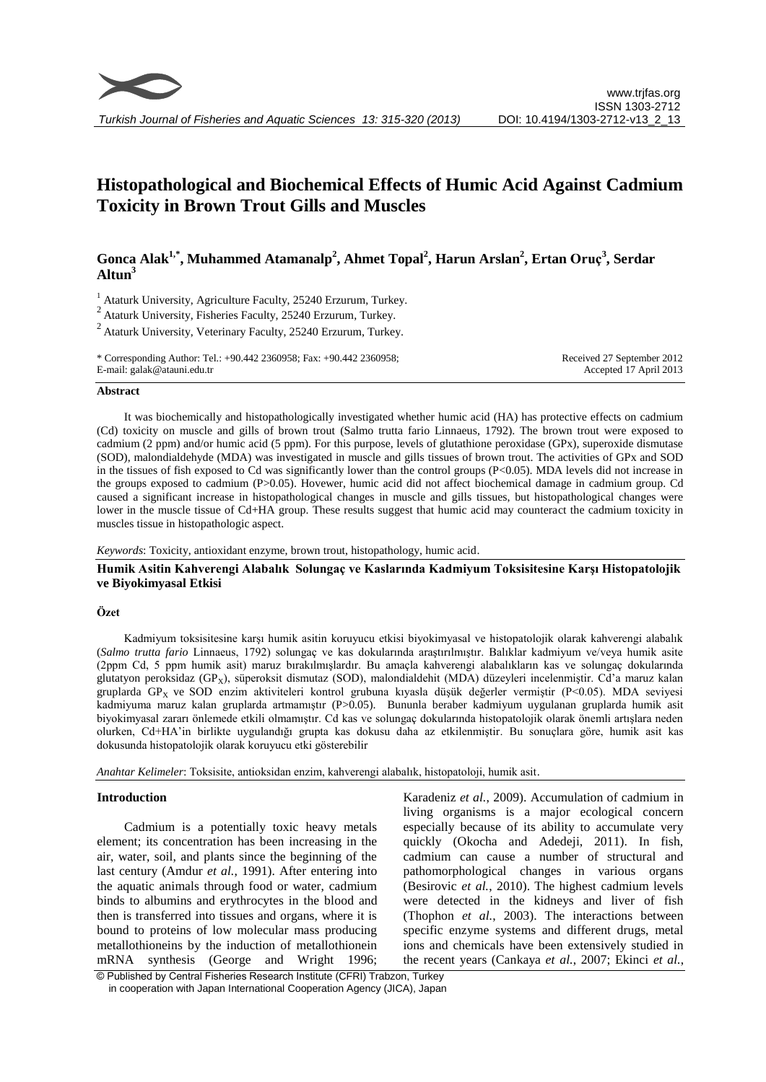

# **Histopathological and Biochemical Effects of Humic Acid Against Cadmium Toxicity in Brown Trout Gills and Muscles**

## **Gonca Alak1,\*, Muhammed Atamanalp<sup>2</sup> , Ahmet Topal<sup>2</sup> , Harun Arslan<sup>2</sup> , Ertan Oruç<sup>3</sup> , Serdar Altun<sup>3</sup>**

<sup>1</sup> Ataturk University, Agriculture Faculty, 25240 Erzurum, Turkey.

 $2$ Ataturk University, Fisheries Faculty, 25240 Erzurum, Turkey.

 $2$  Ataturk University, Veterinary Faculty, 25240 Erzurum, Turkey.

\* Corresponding Author: Tel.: +90.442 2360958; Fax: +90.442 2360958; E-mail: galak@atauni.edu.tr

Received 27 September 2012 Accepted 17 April 2013

#### **Abstract**

It was biochemically and histopathologically investigated whether humic acid (HA) has protective effects on cadmium (Cd) toxicity on muscle and gills of brown trout (Salmo trutta fario Linnaeus, 1792). The brown trout were exposed to cadmium (2 ppm) and/or humic acid (5 ppm). For this purpose, levels of glutathione peroxidase (GPx), superoxide dismutase (SOD), malondialdehyde (MDA) was investigated in muscle and gills tissues of brown trout. The activities of GPx and SOD in the tissues of fish exposed to Cd was significantly lower than the control groups (P<0.05). MDA levels did not increase in the groups exposed to cadmium (P>0.05). Hovewer, humic acid did not affect biochemical damage in cadmium group. Cd caused a significant increase in histopathological changes in muscle and gills tissues, but histopathological changes were lower in the muscle tissue of Cd+HA group. These results suggest that humic acid may counteract the cadmium toxicity in muscles tissue in histopathologic aspect.

*Keywords*: Toxicity, antioxidant enzyme, brown trout, histopathology, humic acid.

## **Humik Asitin Kahverengi Alabalık Solungaç ve Kaslarında Kadmiyum Toksisitesine Karşı Histopatolojik ve Biyokimyasal Etkisi**

#### **Özet**

Kadmiyum toksisitesine karşı humik asitin koruyucu etkisi biyokimyasal ve histopatolojik olarak kahverengi alabalık (*Salmo trutta fario* Linnaeus, 1792) solungaç ve kas dokularında araştırılmıştır. Balıklar kadmiyum ve/veya humik asite (2ppm Cd, 5 ppm humik asit) maruz bırakılmışlardır. Bu amaçla kahverengi alabalıkların kas ve solungaç dokularında glutatyon peroksidaz (GP<sub>x</sub>), süperoksit dismutaz (SOD), malondialdehit (MDA) düzeyleri incelenmiştir. Cd'a maruz kalan gruplarda GP<sub>X</sub> ve SOD enzim aktiviteleri kontrol grubuna kıyasla düşük değerler vermiştir (P<0.05). MDA seviyesi kadmiyuma maruz kalan gruplarda artmamıştır (P>0.05). Bununla beraber kadmiyum uygulanan gruplarda humik asit biyokimyasal zararı önlemede etkili olmamıştır. Cd kas ve solungaç dokularında histopatolojik olarak önemli artışlara neden olurken, Cd+HA'in birlikte uygulandığı grupta kas dokusu daha az etkilenmiştir. Bu sonuçlara göre, humik asit kas dokusunda histopatolojik olarak koruyucu etki gösterebilir

*Anahtar Kelimeler*: Toksisite, antioksidan enzim, kahverengi alabalık, histopatoloji, humik asit.

## **Introduction**

Cadmium is a potentially toxic heavy metals element; its concentration has been increasing in the air, water, soil, and plants since the beginning of the last century (Amdur *et al.*, 1991). After entering into the aquatic animals through food or water, cadmium binds to albumins and erythrocytes in the blood and then is transferred into tissues and organs, where it is bound to proteins of low molecular mass producing metallothioneins by the induction of metallothionein mRNA synthesis (George and Wright 1996;

Karadeniz *et al.*, 2009). Accumulation of cadmium in living organisms is a major ecological concern especially because of its ability to accumulate very quickly (Okocha and Adedeji, 2011). In fish, cadmium can cause a number of structural and pathomorphological changes in various organs (Besirovic *et al.*, 2010). The highest cadmium levels were detected in the kidneys and liver of fish (Thophon *et al.*, 2003). The interactions between specific enzyme systems and different drugs, metal ions and chemicals have been extensively studied in the recent years (Cankaya *et al.*, 2007; Ekinci *et al.*,

© Published by Central Fisheries Research Institute (CFRI) Trabzon, Turkey in cooperation with Japan International Cooperation Agency (JICA), Japan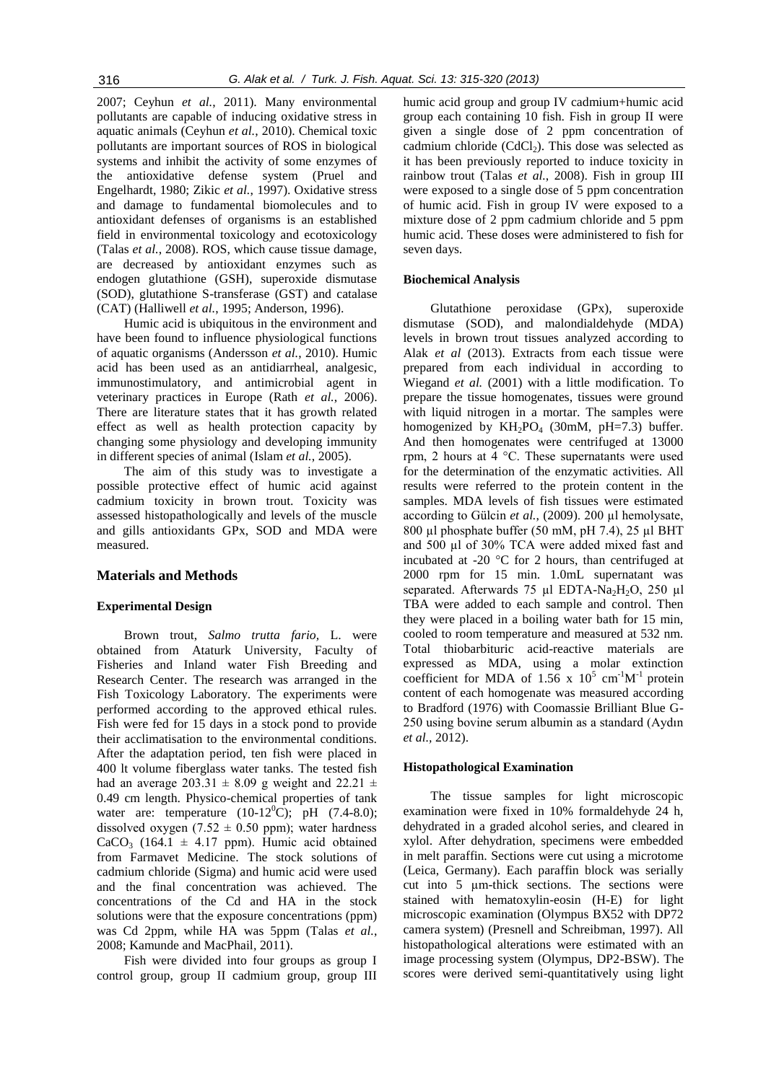2007; Ceyhun *et al.*, 2011). Many environmental pollutants are capable of inducing oxidative stress in aquatic animals (Ceyhun *et al.*, 2010). Chemical toxic pollutants are important sources of ROS in biological systems and inhibit the activity of some enzymes of the antioxidative defense system (Pruel and Engelhardt, 1980; Zikic *et al.*, 1997). Oxidative stress and damage to fundamental biomolecules and to antioxidant defenses of organisms is an established field in environmental toxicology and ecotoxicology (Talas *et al.*, 2008). ROS, which cause tissue damage, are decreased by antioxidant enzymes such as endogen glutathione (GSH), superoxide dismutase (SOD), glutathione S-transferase (GST) and catalase (CAT) (Halliwell *et al.*, 1995; Anderson, 1996).

Humic acid is ubiquitous in the environment and have been found to influence physiological functions of aquatic organisms (Andersson *et al.*, 2010). Humic acid has been used as an antidiarrheal, analgesic, immunostimulatory, and antimicrobial agent in veterinary practices in Europe (Rath *et al.*, 2006). There are literature states that it has growth related effect as well as health protection capacity by changing some physiology and developing immunity in different species of animal (Islam *et al.*, 2005).

The aim of this study was to investigate a possible protective effect of humic acid against cadmium toxicity in brown trout. Toxicity was assessed histopathologically and levels of the muscle and gills antioxidants GPx, SOD and MDA were measured.

## **Materials and Methods**

## **Experimental Design**

Brown trout, *Salmo trutta fario,* L. were obtained from Ataturk University, Faculty of Fisheries and Inland water Fish Breeding and Research Center. The research was arranged in the Fish Toxicology Laboratory. The experiments were performed according to the approved ethical rules. Fish were fed for 15 days in a stock pond to provide their acclimatisation to the environmental conditions. After the adaptation period, ten fish were placed in 400 lt volume fiberglass water tanks. The tested fish had an average 203.31  $\pm$  8.09 g weight and 22.21  $\pm$ 0.49 cm length. Physico-chemical properties of tank water are: temperature  $(10-12^0C)$ ; pH  $(7.4-8.0)$ ; dissolved oxygen  $(7.52 \pm 0.50 \text{ ppm})$ ; water hardness CaCO<sub>3</sub> (164.1  $\pm$  4.17 ppm). Humic acid obtained from Farmavet Medicine. The stock solutions of cadmium chloride (Sigma) and humic acid were used and the final concentration was achieved. The concentrations of the Cd and HA in the stock solutions were that the exposure concentrations (ppm) was Cd 2ppm, while HA was 5ppm (Talas *et al.*, 2008; Kamunde and MacPhail, 2011).

Fish were divided into four groups as group I control group, group II cadmium group, group III

humic acid group and group IV cadmium+humic acid group each containing 10 fish. Fish in group II were given a single dose of 2 ppm concentration of cadmium chloride  $(CdCl<sub>2</sub>)$ . This dose was selected as it has been previously reported to induce toxicity in rainbow trout (Talas *et al.*, 2008). Fish in group III were exposed to a single dose of 5 ppm concentration of humic acid. Fish in group IV were exposed to a mixture dose of 2 ppm cadmium chloride and 5 ppm humic acid. These doses were administered to fish for seven days.

#### **Biochemical Analysis**

Glutathione peroxidase (GPx), superoxide dismutase (SOD), and malondialdehyde (MDA) levels in brown trout tissues analyzed according to Alak *et al* (2013). Extracts from each tissue were prepared from each individual in according to Wiegand *et al.* (2001) with a little modification. To prepare the tissue homogenates, tissues were ground with liquid nitrogen in a mortar. The samples were homogenized by  $KH_2PO_4$  (30mM, pH=7.3) buffer. And then homogenates were centrifuged at 13000 rpm, 2 hours at 4 °C. These supernatants were used for the determination of the enzymatic activities. All results were referred to the protein content in the samples. MDA levels of fish tissues were estimated according to Gülcin *et al.*, (2009). 200 µl hemolysate, 800 µl phosphate buffer (50 mM, pH 7.4), 25 µl BHT and 500 µl of 30% TCA were added mixed fast and incubated at -20 °C for 2 hours, than centrifuged at 2000 rpm for 15 min. 1.0mL supernatant was separated. Afterwards 75 µl EDTA-Na<sub>2</sub>H<sub>2</sub>O, 250 µl TBA were added to each sample and control. Then they were placed in a boiling water bath for 15 min, cooled to room temperature and measured at 532 nm. Total thiobarbituric acid-reactive materials are expressed as MDA, using a molar extinction coefficient for MDA of 1.56 x  $10^5$  cm<sup>-1</sup>M<sup>-1</sup> protein content of each homogenate was measured according to Bradford (1976) with Coomassie Brilliant Blue G-250 using bovine serum albumin as a standard (Aydın *et al.,* 2012).

#### **Histopathological Examination**

The tissue samples for light microscopic examination were fixed in 10% formaldehyde 24 h, dehydrated in a graded alcohol series, and cleared in xylol. After dehydration, specimens were embedded in melt paraffin. Sections were cut using a microtome (Leica, Germany). Each paraffin block was serially cut into 5 µm-thick sections. The sections were stained with hematoxylin-eosin (H-E) for light microscopic examination (Olympus BX52 with DP72 camera system) (Presnell and Schreibman, 1997). All histopathological alterations were estimated with an image processing system (Olympus, DP2-BSW). The scores were derived semi-quantitatively using light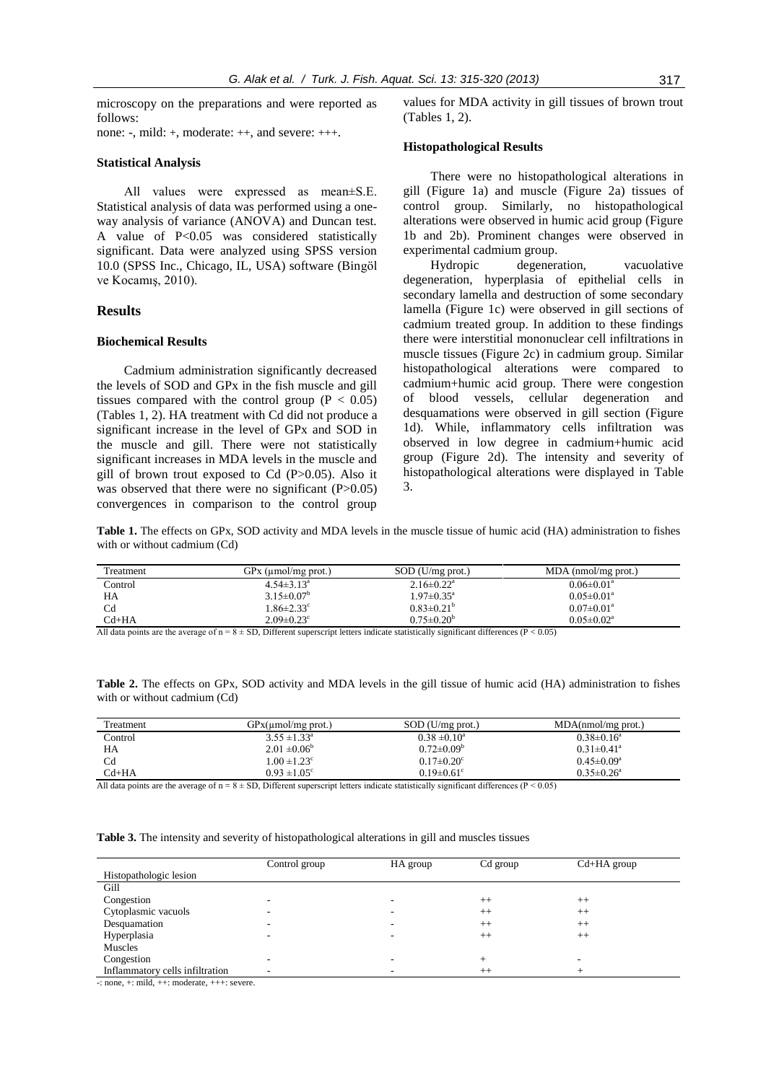microscopy on the preparations and were reported as follows:

none: -, mild: +, moderate: ++, and severe: +++.

#### **Statistical Analysis**

All values were expressed as mean±S.E. Statistical analysis of data was performed using a oneway analysis of variance (ANOVA) and Duncan test. A value of P<0.05 was considered statistically significant. Data were analyzed using SPSS version 10.0 (SPSS Inc., Chicago, IL, USA) software (Bingöl ve Kocamış, 2010).

## **Results**

#### **Biochemical Results**

Cadmium administration significantly decreased the levels of SOD and GPx in the fish muscle and gill tissues compared with the control group  $(P < 0.05)$ (Tables 1, 2). HA treatment with Cd did not produce a significant increase in the level of GPx and SOD in the muscle and gill. There were not statistically significant increases in MDA levels in the muscle and gill of brown trout exposed to Cd (P>0.05). Also it was observed that there were no significant  $(P>0.05)$ convergences in comparison to the control group values for MDA activity in gill tissues of brown trout (Tables 1, 2).

#### **Histopathological Results**

There were no histopathological alterations in gill (Figure 1a) and muscle (Figure 2a) tissues of control group. Similarly, no histopathological alterations were observed in humic acid group (Figure 1b and 2b). Prominent changes were observed in experimental cadmium group.

Hydropic degeneration, vacuolative degeneration, hyperplasia of epithelial cells in secondary lamella and destruction of some secondary lamella (Figure 1c) were observed in gill sections of cadmium treated group. In addition to these findings there were interstitial mononuclear cell infiltrations in muscle tissues (Figure 2c) in cadmium group. Similar histopathological alterations were compared to cadmium+humic acid group. There were congestion of blood vessels, cellular degeneration and desquamations were observed in gill section (Figure 1d). While, inflammatory cells infiltration was observed in low degree in cadmium+humic acid group (Figure 2d). The intensity and severity of histopathological alterations were displayed in Table 3.

**Table 1.** The effects on GPx, SOD activity and MDA levels in the muscle tissue of humic acid (HA) administration to fishes with or without cadmium (Cd)

| Treatment | $GPx$ (µmol/mg prot.)        | SOD (U/mg prot.)             | $MDA$ (nmol/mg prot.)        |
|-----------|------------------------------|------------------------------|------------------------------|
| Control   | $4.54 \pm 3.13$ <sup>a</sup> | $2.16 \pm 0.22$ <sup>a</sup> | $0.06 \pm 0.01$ <sup>a</sup> |
| HA        | $3.15 \pm 0.07^b$            | $1.97 \pm 0.35^{\text{a}}$   | $0.05 \pm 0.01$ <sup>a</sup> |
| Cd        | $1.86 \pm 2.33$ °            | $0.83 \pm 0.21^b$            | $0.07 \pm 0.01$ <sup>a</sup> |
| $Cd+HA$   | $2.09 \pm 0.23$ <sup>c</sup> | $0.75 \pm 0.20^b$            | $0.05 \pm 0.02^a$            |

All data points are the average of  $n = 8 \pm SD$ , Different superscript letters indicate statistically significant differences (P < 0.05)

| <b>Table 2.</b> The effects on GPx, SOD activity and MDA levels in the gill tissue of humic acid (HA) administration to fishes |  |  |  |
|--------------------------------------------------------------------------------------------------------------------------------|--|--|--|
| with or without cadmium (Cd)                                                                                                   |  |  |  |

| Treatment | GPx(numol/mg prot.)          | $SOD$ (U/mg prot.)           | $MDA(nmol/mg$ prot.)         |
|-----------|------------------------------|------------------------------|------------------------------|
| Control   | $3.55 \pm 1.33^{\circ}$      | $0.38 \pm 0.10^a$            | $0.38\pm0.16^a$              |
| HA        | $2.01 \pm 0.06^b$            | $0.72 \pm 0.09^b$            | $0.31 \pm 0.41$ <sup>a</sup> |
| Cd        | $1.00 \pm 1.23$ <sup>c</sup> | $0.17 \pm 0.20$ <sup>c</sup> | $0.45 \pm 0.09^a$            |
| $Cd+HA$   | $0.93 \pm 1.05^{\circ}$      | $0.19 \pm 0.61$ <sup>c</sup> | $0.35 \pm 0.26^a$            |

All data points are the average of  $n = 8 \pm SD$ , Different superscript letters indicate statistically significant differences ( $P < 0.05$ )

**Table 3.** The intensity and severity of histopathological alterations in gill and muscles tissues

|                                 | Control group | HA group | Cd group | $Cd+HA$ group |
|---------------------------------|---------------|----------|----------|---------------|
| Histopathologic lesion          |               |          |          |               |
| Gill                            |               |          |          |               |
| Congestion                      | -             |          | $++$     | $++$          |
| Cytoplasmic vacuols             |               |          | $^{++}$  | $^{++}$       |
| Desquamation                    |               |          | $^{++}$  | $++$          |
| Hyperplasia                     |               |          | $^{++}$  | $^{++}$       |
| Muscles                         |               |          |          |               |
| Congestion                      |               |          |          |               |
| Inflammatory cells infiltration |               |          | $++$     |               |

 $\frac{1}{2}$ : none,  $\pm$ : mild,  $\pm$ +: moderate,  $\pm$ + $\pm$ : severe.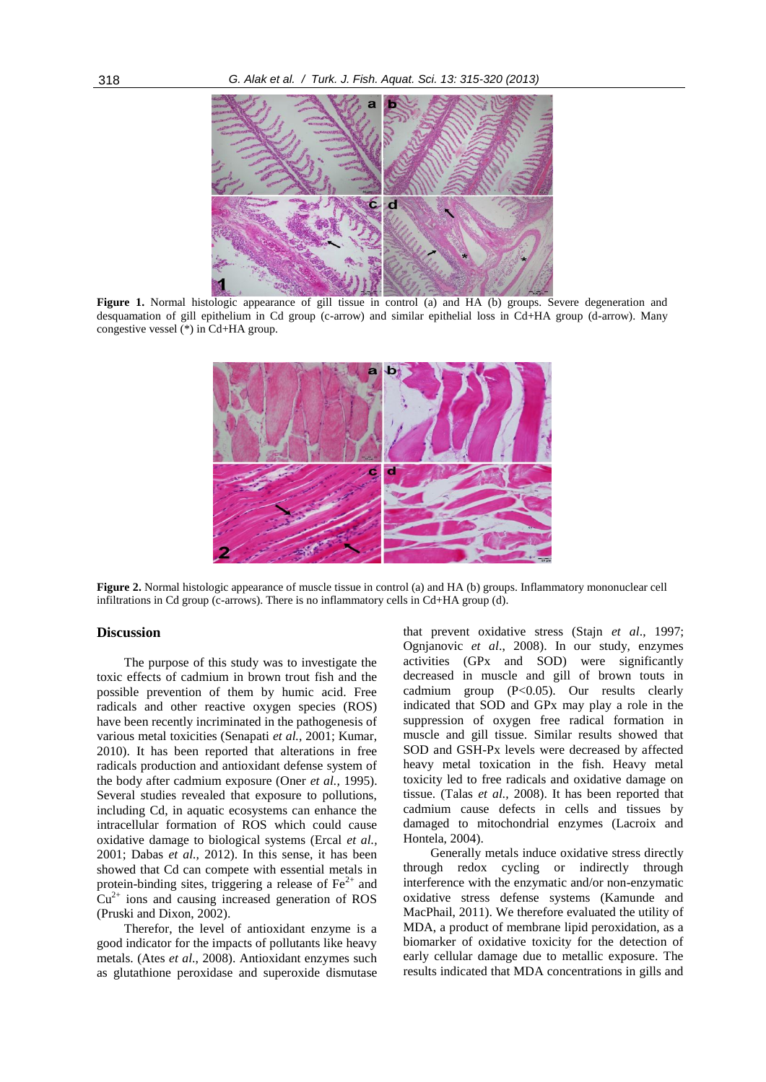

**Figure 1.** Normal histologic appearance of gill tissue in control (a) and HA (b) groups. Severe degeneration and desquamation of gill epithelium in Cd group (c-arrow) and similar epithelial loss in Cd+HA group (d-arrow). Many congestive vessel (\*) in Cd+HA group.



**Figure 2.** Normal histologic appearance of muscle tissue in control (a) and HA (b) groups. Inflammatory mononuclear cell infiltrations in Cd group (c-arrows). There is no inflammatory cells in Cd+HA group (d).

### **Discussion**

The purpose of this study was to investigate the toxic effects of cadmium in brown trout fish and the possible prevention of them by humic acid. Free radicals and other reactive oxygen species (ROS) have been recently incriminated in the pathogenesis of various metal toxicities (Senapati *et al.*, 2001; Kumar, 2010). It has been reported that alterations in free radicals production and antioxidant defense system of the body after cadmium exposure (Oner *et al.,* 1995). Several studies revealed that exposure to pollutions, including Cd, in aquatic ecosystems can enhance the intracellular formation of ROS which could cause oxidative damage to biological systems (Ercal *et al.,* 2001; Dabas *et al.,* 2012). In this sense, it has been showed that Cd can compete with essential metals in protein-binding sites, triggering a release of  $\text{Fe}^{2+}$  and  $Cu<sup>2+</sup>$  ions and causing increased generation of ROS (Pruski and Dixon, 2002).

Therefor, the level of antioxidant enzyme is a good indicator for the impacts of pollutants like heavy metals. (Ates *et al*., 2008). Antioxidant enzymes such as glutathione peroxidase and superoxide dismutase that prevent oxidative stress (Stajn *et al*., 1997; Ognjanovic *et al*., 2008). In our study, enzymes activities (GPx and SOD) were significantly decreased in muscle and gill of brown touts in cadmium group (P<0.05). Our results clearly indicated that SOD and GPx may play a role in the suppression of oxygen free radical formation in muscle and gill tissue. Similar results showed that SOD and GSH-Px levels were decreased by affected heavy metal toxication in the fish. Heavy metal toxicity led to free radicals and oxidative damage on tissue. (Talas *et al.,* 2008). It has been reported that cadmium cause defects in cells and tissues by damaged to mitochondrial enzymes (Lacroix and Hontela, 2004).

Generally metals induce oxidative stress directly through redox cycling or indirectly through interference with the enzymatic and/or non-enzymatic oxidative stress defense systems (Kamunde and MacPhail, 2011). We therefore evaluated the utility of MDA, a product of membrane lipid peroxidation, as a biomarker of oxidative toxicity for the detection of early cellular damage due to metallic exposure. The results indicated that MDA concentrations in gills and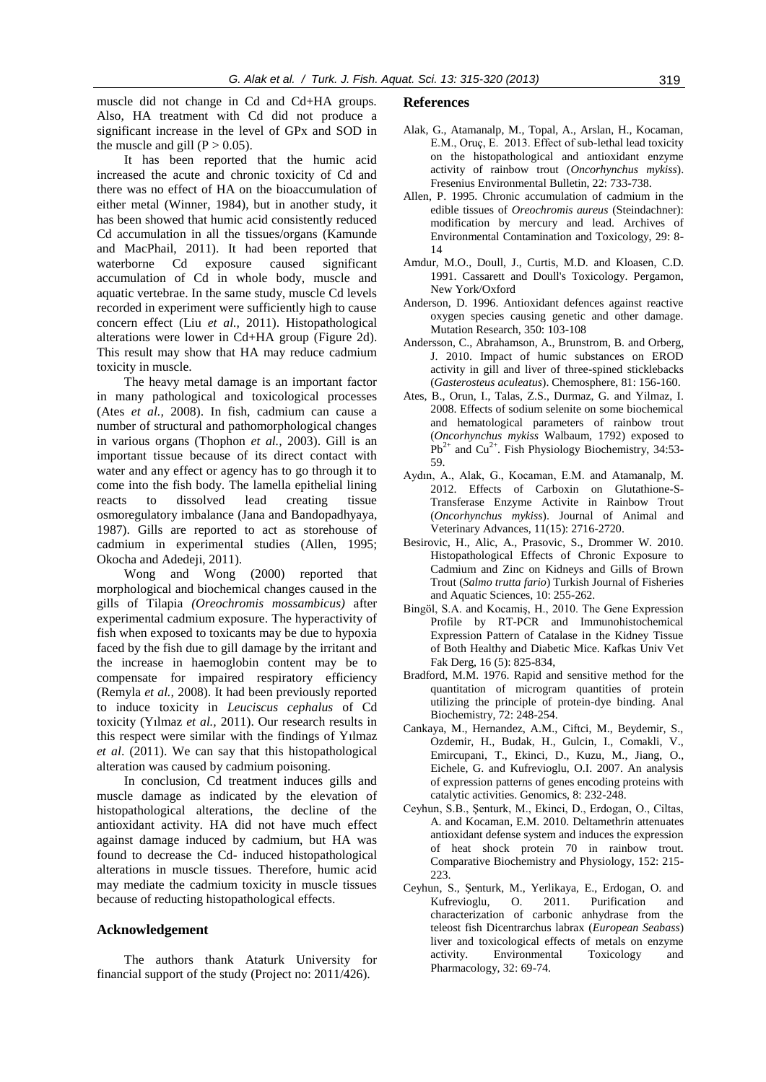muscle did not change in Cd and Cd+HA groups. Also, HA treatment with Cd did not produce a significant increase in the level of GPx and SOD in the muscle and gill  $(P > 0.05)$ .

It has been reported that the humic acid increased the acute and chronic toxicity of Cd and there was no effect of HA on the bioaccumulation of either metal (Winner, 1984), but in another study, it has been showed that humic acid consistently reduced Cd accumulation in all the tissues/organs (Kamunde and MacPhail, 2011). It had been reported that waterborne Cd exposure caused significant accumulation of Cd in whole body, muscle and aquatic vertebrae. In the same study, muscle Cd levels recorded in experiment were sufficiently high to cause concern effect (Liu *et al.,* 2011). Histopathological alterations were lower in Cd+HA group (Figure 2d). This result may show that HA may reduce cadmium toxicity in muscle.

The heavy metal damage is an important factor in many pathological and toxicological processes (Ates *et al.,* 2008). In fish, cadmium can cause a number of structural and pathomorphological changes in various organs (Thophon *et al.,* 2003). Gill is an important tissue because of its direct contact with water and any effect or agency has to go through it to come into the fish body. The lamella epithelial lining reacts to dissolved lead creating tissue osmoregulatory imbalance (Jana and Bandopadhyaya, 1987). Gills are reported to act as storehouse of cadmium in experimental studies (Allen, 1995; Okocha and Adedeji, 2011).

Wong and Wong (2000) reported that morphological and biochemical changes caused in the gills of Tilapia *(Oreochromis mossambicus)* after experimental cadmium exposure. The hyperactivity of fish when exposed to toxicants may be due to hypoxia faced by the fish due to gill damage by the irritant and the increase in haemoglobin content may be to compensate for impaired respiratory efficiency (Remyla *et al.,* 2008). It had been previously reported to induce toxicity in *Leuciscus cephalus* of Cd toxicity (Yılmaz *et al.,* 2011). Our research results in this respect were similar with the findings of Yılmaz *et al*. (2011). We can say that this histopathological alteration was caused by cadmium poisoning.

In conclusion, Cd treatment induces gills and muscle damage as indicated by the elevation of histopathological alterations, the decline of the antioxidant activity. HA did not have much effect against damage induced by cadmium, but HA was found to decrease the Cd- induced histopathological alterations in muscle tissues. Therefore, humic acid may mediate the cadmium toxicity in muscle tissues because of reducting histopathological effects.

#### **Acknowledgement**

The authors thank Ataturk University for financial support of the study (Project no: 2011/426).

#### **References**

- Alak, G., Atamanalp, M., Topal, A., Arslan, H., Kocaman, E.M., Oruç, E. 2013. Effect of sub-lethal lead toxicity on the histopathological and antioxidant enzyme activity of rainbow trout (*Oncorhynchus mykiss*). Fresenius Environmental Bulletin, 22: 733-738.
- Allen, P. 1995. Chronic accumulation of cadmium in the edible tissues of *Oreochromis aureus* (Steindachner): modification by mercury and lead. Archives of Environmental Contamination and Toxicology, 29: 8- 14
- Amdur, M.O., Doull, J., Curtis, M.D. and Kloasen, C.D. 1991. Cassarett and Doull's Toxicology. Pergamon, New York/Oxford
- Anderson, D. 1996. Antioxidant defences against reactive oxygen species causing genetic and other damage. Mutation Research, 350: 103-108
- Andersson, C., Abrahamson, A., Brunstrom, B. and Orberg, J. 2010. Impact of humic substances on EROD activity in gill and liver of three-spined sticklebacks (*Gasterosteus aculeatus*). Chemosphere, 81: 156-160.
- Ates, B., Orun, I., Talas, Z.S., Durmaz, G. and Yilmaz, I. 2008. Effects of sodium selenite on some biochemical and hematological parameters of rainbow trout (*Oncorhynchus mykiss* Walbaum, 1792) exposed to  $Pb^{2+}$  and Cu<sup>2+</sup>. Fish Physiology Biochemistry, 34:53-59.
- Aydın, A., Alak, G., Kocaman, E.M. and Atamanalp, M. 2012. Effects of Carboxin on Glutathione-S-Transferase Enzyme Activite in Rainbow Trout (*Oncorhynchus mykiss*). Journal of Animal and Veterinary Advances, 11(15): 2716-2720.
- Besirovic, H., Alic, A., Prasovic, S., Drommer W. 2010. Histopathological Effects of Chronic Exposure to Cadmium and Zinc on Kidneys and Gills of Brown Trout (*Salmo trutta fario*) Turkish Journal of Fisheries and Aquatic Sciences, 10: 255-262.
- Bingöl, S.A. and Kocamiş, H., 2010. The Gene Expression Profile by RT-PCR and Immunohistochemical Expression Pattern of Catalase in the Kidney Tissue of Both Healthy and Diabetic Mice. Kafkas Univ Vet Fak Derg, 16 (5): 825-834,
- Bradford, M.M. 1976. Rapid and sensitive method for the quantitation of microgram quantities of protein utilizing the principle of protein-dye binding. Anal Biochemistry, 72: 248-254.
- Cankaya, M., Hernandez, A.M., Ciftci, M., Beydemir, S., Ozdemir, H., Budak, H., Gulcin, I., Comakli, V., Emircupani, T., Ekinci, D., Kuzu, M., Jiang, O., Eichele, G. and Kufrevioglu, O.I. 2007. An analysis of expression patterns of genes encoding proteins with catalytic activities. Genomics, 8: 232-248.
- Ceyhun, S.B., Şenturk, M., Ekinci, D., Erdogan, O., Ciltas, A. and Kocaman, E.M. 2010. Deltamethrin attenuates antioxidant defense system and induces the expression of heat shock protein 70 in rainbow trout. Comparative Biochemistry and Physiology, 152: 215- 223.
- Ceyhun, S., Şenturk, M., Yerlikaya, E., Erdogan, O. and Kufrevioglu, O. 2011. Purification and characterization of carbonic anhydrase from the teleost fish Dicentrarchus labrax (*European Seabass*) liver and toxicological effects of metals on enzyme activity. Environmental Toxicology and Pharmacology, 32: 69-74.